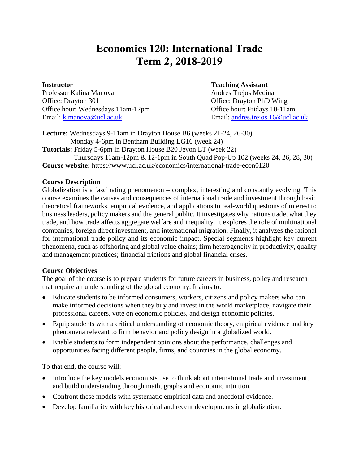# Economics 120: International Trade Term 2, 2018-2019

Professor Kalina Manova **Andres Trejos Medina** Andres Trejos Medina Office: Drayton 301 Office: Drayton PhD Wing Office hour: Wednesdays 11am-12pm Office hour: Fridays 10-11am Email: [k.manova@ucl.ac.uk](mailto:k.manova@ucl.ac.uk) Email: [andres.trejos.16@ucl.ac.uk](mailto:andres.trejos.16@ucl.ac.uk)

#### **Instructor Teaching Assistant**

**Lecture:** Wednesdays 9-11am in Drayton House B6 (weeks 21-24, 26-30) Monday 4-6pm in Bentham Building LG16 (week 24) **Tutorials:** Friday 5-6pm in Drayton House B20 Jevon LT (week 22)

 Thursdays 11am-12pm & 12-1pm in South Quad Pop-Up 102 (weeks 24, 26, 28, 30) **Course website:** https://www.ucl.ac.uk/economics/international-trade-econ0120

#### **Course Description**

Globalization is a fascinating phenomenon – complex, interesting and constantly evolving. This course examines the causes and consequences of international trade and investment through basic theoretical frameworks, empirical evidence, and applications to real-world questions of interest to business leaders, policy makers and the general public. It investigates why nations trade, what they trade, and how trade affects aggregate welfare and inequality. It explores the role of multinational companies, foreign direct investment, and international migration. Finally, it analyzes the rational for international trade policy and its economic impact. Special segments highlight key current phenomena, such as offshoring and global value chains; firm heterogeneity in productivity, quality and management practices; financial frictions and global financial crises.

#### **Course Objectives**

The goal of the course is to prepare students for future careers in business, policy and research that require an understanding of the global economy. It aims to:

- Educate students to be informed consumers, workers, citizens and policy makers who can make informed decisions when they buy and invest in the world marketplace, navigate their professional careers, vote on economic policies, and design economic policies.
- Equip students with a critical understanding of economic theory, empirical evidence and key phenomena relevant to firm behavior and policy design in a globalized world.
- Enable students to form independent opinions about the performance, challenges and opportunities facing different people, firms, and countries in the global economy.

To that end, the course will:

- Introduce the key models economists use to think about international trade and investment, and build understanding through math, graphs and economic intuition.
- Confront these models with systematic empirical data and anecdotal evidence.
- Develop familiarity with key historical and recent developments in globalization.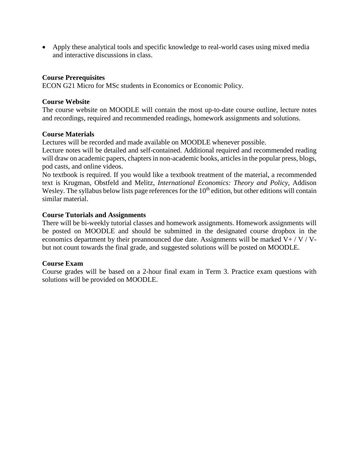• Apply these analytical tools and specific knowledge to real-world cases using mixed media and interactive discussions in class.

#### **Course Prerequisites**

ECON G21 Micro for MSc students in Economics or Economic Policy.

#### **Course Website**

The course website on MOODLE will contain the most up-to-date course outline, lecture notes and recordings, required and recommended readings, homework assignments and solutions.

#### **Course Materials**

Lectures will be recorded and made available on MOODLE whenever possible.

Lecture notes will be detailed and self-contained. Additional required and recommended reading will draw on academic papers, chapters in non-academic books, articles in the popular press, blogs, pod casts, and online videos.

No textbook is required. If you would like a textbook treatment of the material, a recommended text is Krugman, Obstfeld and Melitz, *International Economics: Theory and Policy*, Addison Wesley. The syllabus below lists page references for the 10<sup>th</sup> edition, but other editions will contain similar material.

#### **Course Tutorials and Assignments**

There will be bi-weekly tutorial classes and homework assignments. Homework assignments will be posted on MOODLE and should be submitted in the designated course dropbox in the economics department by their preannounced due date. Assignments will be marked  $V+ / V / V$ but not count towards the final grade, and suggested solutions will be posted on MOODLE.

#### **Course Exam**

Course grades will be based on a 2-hour final exam in Term 3. Practice exam questions with solutions will be provided on MOODLE.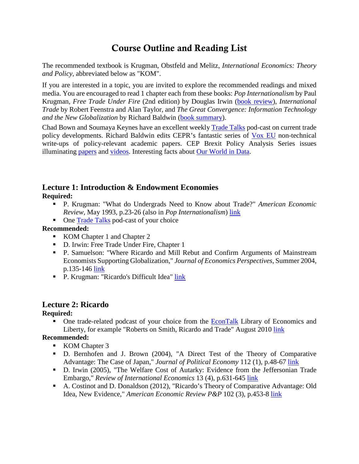# Course Outline and Reading List

The recommended textbook is Krugman, Obstfeld and Melitz, *International Economics: Theory and Policy*, abbreviated below as "KOM".

If you are interested in a topic, you are invited to explore the recommended readings and mixed media. You are encouraged to read 1 chapter each from these books: *Pop Internationalism* by Paul Krugman, *Free Trade Under Fire* (2nd edition) by Douglas Irwin [\(book review\)](https://www.jstor.org/stable/1061708), *International Trade* by Robert Feenstra and Alan Taylor, and *The Great Convergence: Information Technology and the New Globalization* by Richard Baldwin [\(book summary\)](https://www.bradford-delong.com/2017/03/reading-richard-baldwin-2017the-great-convergence-information-technology-and-the-new-globalization.html).

Chad Bown and Soumaya Keynes have an excellent weekly [Trade Talks](https://piie.com/trade-talks) pod-cast on current trade policy developments. Richard Baldwin edits CEPR's fantastic series of [Vox EU](https://voxeu.org/) non-technical write-ups of policy-relevant academic papers. CEP Brexit Policy Analysis Series issues illuminating [papers](http://cep.lse.ac.uk/BREXIT/) and [videos.](http://cep.lse.ac.uk/BREXIT/video.asp) Interesting facts about [Our World in Data.](https://ourworldindata.org/international-trade)

# **Lecture 1: Introduction & Endowment Economies**

**Required:**

- P. Krugman: "What do Undergrads Need to Know about Trade?" *American Economic Review*, May 1993, p.23-26 (also in *Pop Internationalism*) [link](https://www.jstor.org/stable/2117633?seq=1#metadata_info_tab_contents)
- One [Trade Talks](https://piie.com/trade-talks) pod-cast of your choice

## **Recommended:**

- KOM Chapter 1 and Chapter 2
- D. Irwin: Free Trade Under Fire, Chapter 1
- P. Samuelson: "Where Ricardo and Mill Rebut and Confirm Arguments of Mainstream Economists Supporting Globalization," *Journal of Economics Perspectives*, Summer 2004, p.135-146 [link](http://www.jstor.org/stable/10.2307/3216810?Search=yes&resultItemClick=true&searchText=Where&searchText=Ricardo&searchText=and&searchText=Mill&searchText=Rebut&searchText=and&searchText=Confirm&searchText=Arguments&searchText=of&searchText=Mainstream&searc)
- **P. Krugman: "Ricardo's Difficult Idea" [link](http://web.mit.edu/krugman/www/ricardo.htm)**

# **Lecture 2: Ricardo**

# **Required:**

 One trade-related podcast of your choice from the [EconTalk](http://www.econtalk.org/) Library of Economics and Liberty, for example "Roberts on Smith, Ricardo and Trade" August 2010 [link](http://www.econtalk.org/archives/2010/02/roberts_on_smit.html)

# **Recommended:**

- KOM Chapter 3
- D. Bernhofen and J. Brown (2004), "A Direct Test of the Theory of Comparative Advantage: The Case of Japan," *Journal of Political Economy* 112 (1), p.48-67 [link](http://www.journals.uchicago.edu/doi/pdf/10.1086/379944)
- D. Irwin (2005), "The Welfare Cost of Autarky: Evidence from the Jeffersonian Trade Embargo," *Review of International Economics* 13 (4), p.631-645 [link](http://www.dartmouth.edu/%7Edirwin/docs/Embargo.pdf)
- A. Costinot and D. Donaldson (2012), "Ricardo's Theory of Comparative Advantage: Old Idea, New Evidence," *American Economic Review P&P* 102 (3), p.453-8 [link](https://www.aeaweb.org/articles?id=10.1257/aer.102.3.453)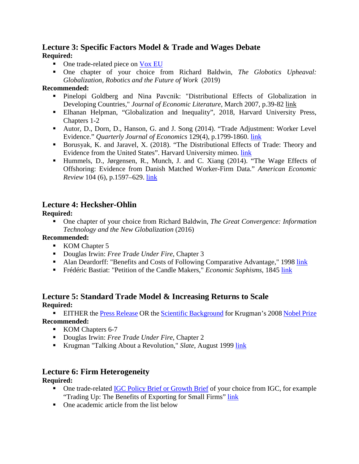## **Lecture 3: Specific Factors Model & Trade and Wages Debate Required:**

- One trade-related piece on [Vox EU](https://voxeu.org/)
- One chapter of your choice from Richard Baldwin, *The Globotics Upheaval: Globalization, Robotics and the Future of Work* (2019)

#### **Recommended:**

- Pinelopi Goldberg and Nina Pavcnik: "Distributional Effects of Globalization in Developing Countries," *Journal of Economic Literature*, March 2007, p.39-82 [link](http://www.jstor.org/stable/27646747)
- Elhanan Helpman, "Globalization and Inequality", 2018, Harvard University Press, Chapters 1-2
- Autor, D., Dorn, D., Hanson, G. and J. Song (2014). "Trade Adjustment: Worker Level Evidence." *Quarterly Journal of Economics* 129(4), p.1799-1860. [link](https://economics.mit.edu/files/11606)
- Borusyak, K. and Jaravel, X. (2018). "The Distributional Effects of Trade: Theory and Evidence from the United States". Harvard University mimeo. [link](https://scholar.harvard.edu/borusyak/publications/distributional-effects-trade-theory-and-evidence-united-states-job-market)
- Hummels, D., Jørgensen, R., Munch, J. and C. Xiang (2014). "The Wage Effects of Offshoring: Evidence from Danish Matched Worker-Firm Data." *American Economic Review* 104 (6), p.1597–629. [link](https://www.uio.no/studier/emner/sv/oekonomi/ECON2915/h15/pensumliste/hummels-et-al---the-wage-effects-of-offshoring---aer2014.pdf)

# **Lecture 4: Hecksher-Ohlin**

## **Required:**

 One chapter of your choice from Richard Baldwin, *The Great Convergence: Information Technology and the New Globalization* (2016)

## **Recommended:**

- KOM Chapter 5
- Douglas Irwin: *Free Trade Under Fire*, Chapter 3
- Alan Deardorff: "Benefits and Costs of Following Comparative Advantage," 1998 [link](http://www.fordschool.umich.edu/rsie/workingpapers/Papers401-425/r423.PDF)
- Frédéric Bastiat: "Petition of the Candle Makers," *Economic Sophisms*, 1845 [link](http://bastiat.org/en/petition.html)

## **Lecture 5: Standard Trade Model & Increasing Returns to Scale Required:**

**EITHER the [Press Release](https://www.nobelprize.org/uploads/2018/06/popular-economicsciences2008.pdf) OR the [Scientific Background](https://www.nobelprize.org/uploads/2018/06/advanced-economicsciences2008.pdf) for Krugman's 200[8 Nobel Prize](https://www.nobelprize.org/prizes/economic-sciences/2008/press-release/) Recommended:**

- KOM Chapters 6-7
- Douglas Irwin: *Free Trade Under Fire*, Chapter 2
- Krugman "Talking About a Revolution," *Slate*, August 1999 [link](http://www.slate.com/id/33334/)

# **Lecture 6: Firm Heterogeneity**

## **Required:**

- One trade-related [IGC Policy Brief or Growth Brief](https://www.theigc.org/search/?select-post_type%5B%5D=publication&select-publication-types%5B%5D=growth-brief&select-publication-types%5B%5D=policy-brief&select-research-themes%5B%5D=trade&hidden-current-page=1&hidden-s=) of your choice from IGC, for example "Trading Up: The Benefits of Exporting for Small Firms" [link](https://www.theigc.org/publication/growth-brief-trading-benefits-exporting-small-firms/)
- One academic article from the list below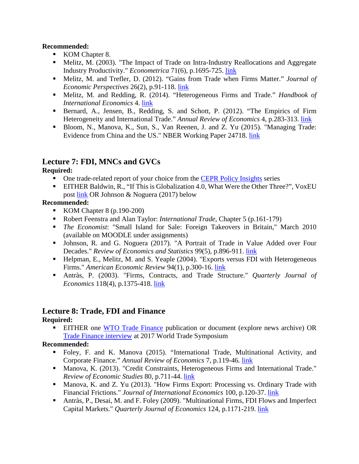#### **Recommended:**

- KOM Chapter 8.
- Melitz, M. (2003). "The Impact of Trade on Intra-Industry Reallocations and Aggregate Industry Productivity." *Econometrica* 71(6), p.1695-725. [link](https://scholar.harvard.edu/files/melitz/files/aggprod_ecma.pdf)
- Melitz, M. and Trefler, D. (2012). "Gains from Trade when Firms Matter." *Journal of Economic Perspectives* 26(2), p.91-118. [link](https://scholar.harvard.edu/files/melitz/files/jep_final.pdf)
- Melitz, M. and Redding, R. (2014). "Heterogeneous Firms and Trade." *Handbook of International Economics* 4. [link](https://scholar.harvard.edu/files/melitz/files/finalproofs.pdf)
- Bernard, A., Jensen, B., Redding, S. and Schott, P. (2012). "The Empirics of Firm Heterogeneity and International Trade." *Annual Review of Economics* 4, p.283-313. [link](http://faculty.tuck.dartmouth.edu/images/uploads/faculty/andrew-bernard/annurev_economics.pdf)
- Bloom, N., Manova, K., Sun, S., Van Reenen, J. and Z. Yu (2015). "Managing Trade: Evidence from China and the US." NBER Working Paper 24718. [link](https://docs.wixstatic.com/ugd/5e915f_bd43bd2d9d744c4f817129244bfa6d2a.pdf)

# **Lecture 7: FDI, MNCs and GVCs**

#### **Required:**

- One trade-related report of your choice from the [CEPR Policy Insights](https://cepr.org/content/policy-insights) series
- EITHER Baldwin, R., "If This is Globalization 4.0, What Were the Other Three?", VoxEU post [link](https://voxeu.org/content/if-globalisation-40-what-were-other-three) OR Johnson & Noguera (2017) below

#### **Recommended:**

- KOM Chapter 8  $(p.190-200)$
- Robert Feenstra and Alan Taylor: *International Trade*, Chapter 5 (p.161-179)
- *The Economist*: "Small Island for Sale: Foreign Takeovers in Britain," March 2010 (available on MOODLE under assignments)
- Johnson, R. and G. Noguera (2017). "A Portrait of Trade in Value Added over Four Decades." *Review of Economics and Statistics* 99(5), p.896-911. [link](https://sites.google.com/site/robjohnson41/research/vax4d)
- Helpman, E., Melitz, M. and S. Yeaple (2004). "Exports versus FDI with Heterogeneous Firms." *American Economic Review* 94(1), p.300-16. [link](https://scholar.harvard.edu/files/melitz/files/exportsvsfdi_aer.pdf)
- Antràs, P. (2003). "Firms, Contracts, and Trade Structure." *Quarterly Journal of Economics* 118(4), p.1375-418. [link](https://scholar.harvard.edu/files/antras/files/fcts.pdf)

# **Lecture 8: Trade, FDI and Finance**

#### **Required:**

**EITHER** one [WTO Trade Finance](https://www.wto.org/english/thewto_e/coher_e/tr_finance_e.htm) publication or document (explore news archive) OR [Trade Finance interview](https://worldtradesymposium.com/dr-marc-auboin-gives-the-details-of-the-1-6-trillion-trade-financing-gap-in-emerging-markets-at-the-world-trade-symposium-2017/) at 2017 World Trade Symposium

## **Recommended:**

- Foley, F. and K. Manova (2015). "International Trade, Multinational Activity, and Corporate Finance." *Annual Review of Economics* 7, p.119-46*.* [link](https://docs.wixstatic.com/ugd/5e915f_e425517b29324990b72b2e6351a9a42b.pdf)
- Manova, K. (2013). "Credit Constraints, Heterogeneous Firms and International Trade." *Review of Economic Studies* 80, p.711-44. [link](https://docs.wixstatic.com/ugd/5e915f_82087879b4744386911244971400a461.pdf)
- Manova, K. and Z. Yu (2013). "How Firms Export: Processing vs. Ordinary Trade with Financial Frictions." *Journal of International Economics* 100, p.120-37. [link](https://docs.wixstatic.com/ugd/5e915f_787b554fd92a484bbae04809ed6215a3.pdf)
- Antràs, P., Desai, M. and F. Foley (2009). "Multinational Firms, FDI Flows and Imperfect Capital Markets." *Quarterly Journal of Economics* 124, p.1171-219. [link](https://scholar.harvard.edu/files/antras/files/adffinance.pdf)